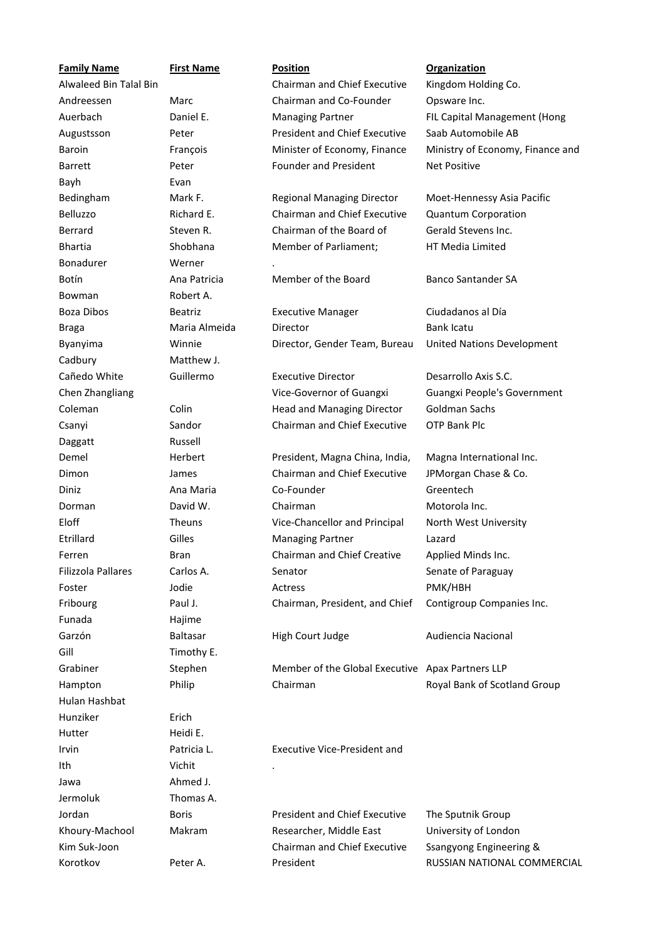| <b>Family Name</b>     | <b>First Name</b> | <b>Position</b>                                  | <b>Organization</b>              |
|------------------------|-------------------|--------------------------------------------------|----------------------------------|
| Alwaleed Bin Talal Bin |                   | Chairman and Chief Executive                     | Kingdom Holding Co.              |
| Andreessen             | Marc              | Chairman and Co-Founder                          | Opsware Inc.                     |
| Auerbach               | Daniel E.         | <b>Managing Partner</b>                          | FIL Capital Management (Hong     |
| Augustsson             | Peter             | <b>President and Chief Executive</b>             | Saab Automobile AB               |
| Baroin                 | François          | Minister of Economy, Finance                     | Ministry of Economy, Finance and |
| <b>Barrett</b>         | Peter             | <b>Founder and President</b>                     | <b>Net Positive</b>              |
| Bayh                   | Evan              |                                                  |                                  |
| Bedingham              | Mark F.           | <b>Regional Managing Director</b>                | Moet-Hennessy Asia Pacific       |
| Belluzzo               | Richard E.        | Chairman and Chief Executive                     | <b>Quantum Corporation</b>       |
| Berrard                | Steven R.         | Chairman of the Board of                         | Gerald Stevens Inc.              |
| <b>Bhartia</b>         | Shobhana          | Member of Parliament;                            | HT Media Limited                 |
| Bonadurer              | Werner            |                                                  |                                  |
| Botín                  | Ana Patricia      | Member of the Board                              | <b>Banco Santander SA</b>        |
| Bowman                 | Robert A.         |                                                  |                                  |
| Boza Dibos             | <b>Beatriz</b>    | <b>Executive Manager</b>                         | Ciudadanos al Día                |
| <b>Braga</b>           | Maria Almeida     | Director                                         | <b>Bank Icatu</b>                |
| Byanyima               | Winnie            | Director, Gender Team, Bureau                    | United Nations Development       |
| Cadbury                | Matthew J.        |                                                  |                                  |
| Cañedo White           | Guillermo         | <b>Executive Director</b>                        | Desarrollo Axis S.C.             |
| Chen Zhangliang        |                   | Vice-Governor of Guangxi                         | Guangxi People's Government      |
| Coleman                | Colin             | Head and Managing Director                       | <b>Goldman Sachs</b>             |
| Csanyi                 | Sandor            | Chairman and Chief Executive                     | <b>OTP Bank Plc</b>              |
| Daggatt                | Russell           |                                                  |                                  |
| Demel                  | Herbert           | President, Magna China, India,                   | Magna International Inc.         |
| Dimon                  | James             | <b>Chairman and Chief Executive</b>              | JPMorgan Chase & Co.             |
| Diniz                  | Ana Maria         | Co-Founder                                       | Greentech                        |
| Dorman                 | David W.          | Chairman                                         | Motorola Inc.                    |
| Eloff                  | Theuns            | Vice-Chancellor and Principal                    | North West University            |
| Etrillard              | Gilles            | <b>Managing Partner</b>                          | Lazard                           |
| Ferren                 | Bran              | Chairman and Chief Creative                      | Applied Minds Inc.               |
| Filizzola Pallares     | Carlos A.         | Senator                                          | Senate of Paraguay               |
| Foster                 | Jodie             | Actress                                          | PMK/HBH                          |
| Fribourg               | Paul J.           | Chairman, President, and Chief                   | Contigroup Companies Inc.        |
| Funada                 | Hajime            |                                                  |                                  |
| Garzón                 | Baltasar          | High Court Judge                                 | Audiencia Nacional               |
| Gill                   | Timothy E.        |                                                  |                                  |
| Grabiner               | Stephen           | Member of the Global Executive Apax Partners LLP |                                  |
| Hampton                | Philip            | Chairman                                         | Royal Bank of Scotland Group     |
| Hulan Hashbat          |                   |                                                  |                                  |
| Hunziker               | Erich             |                                                  |                                  |
| Hutter                 | Heidi E.          |                                                  |                                  |
| Irvin                  | Patricia L.       | Executive Vice-President and                     |                                  |
| Ith                    | Vichit            |                                                  |                                  |
| Jawa                   | Ahmed J.          |                                                  |                                  |
| Jermoluk               | Thomas A.         |                                                  |                                  |
| Jordan                 | <b>Boris</b>      | <b>President and Chief Executive</b>             | The Sputnik Group                |
| Khoury-Machool         | Makram            | Researcher, Middle East                          | University of London             |
| Kim Suk-Joon           |                   | Chairman and Chief Executive                     | Ssangyong Engineering &          |
| Korotkov               | Peter A.          | President                                        | RUSSIAN NATIONAL COMMERCIAL      |